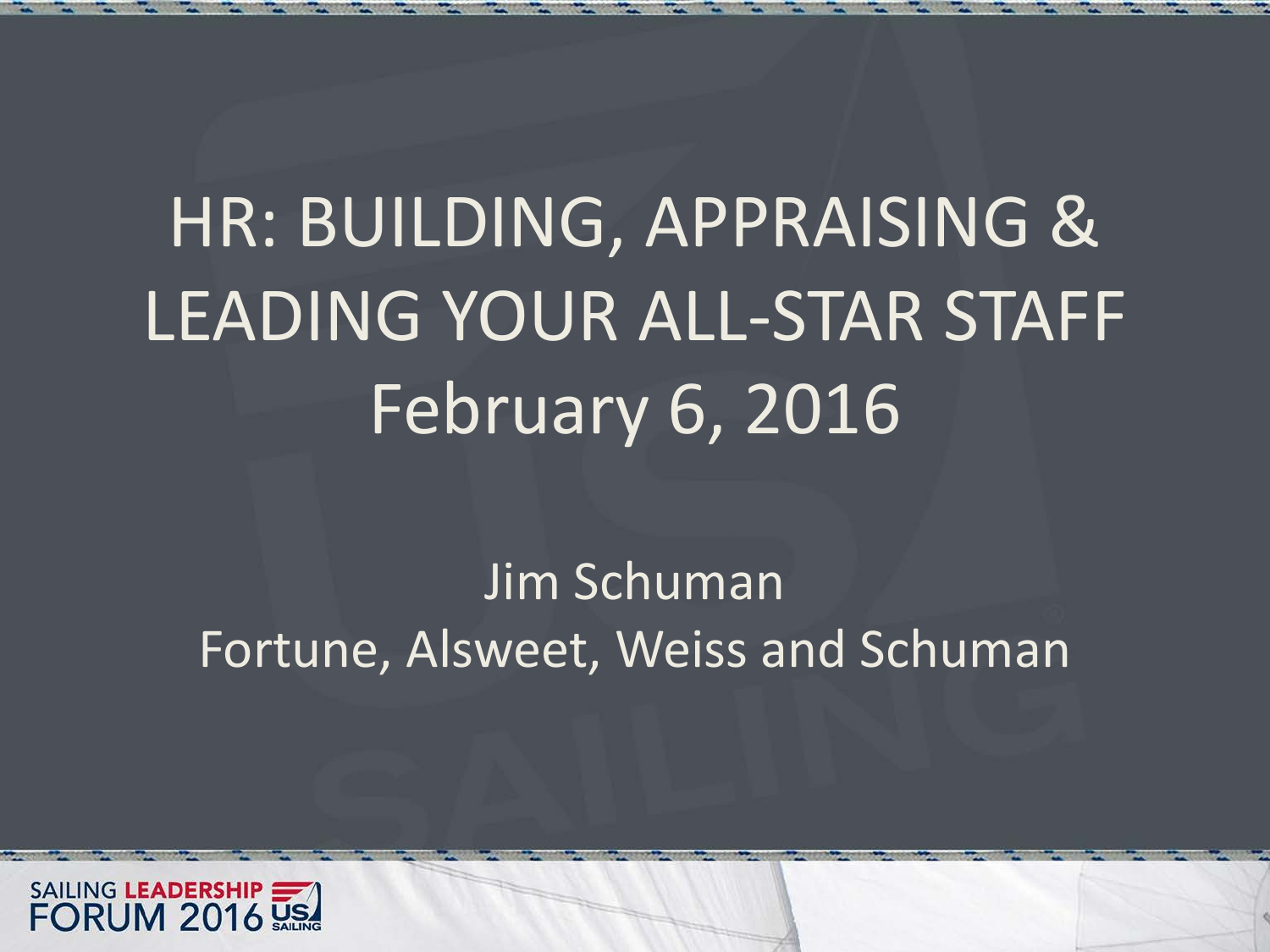# HR: BUILDING, APPRAISING & LEADING YOUR ALL-STAR STAFF February 6, 2016

#### Jim Schuman Fortune, Alsweet, Weiss and Schuman

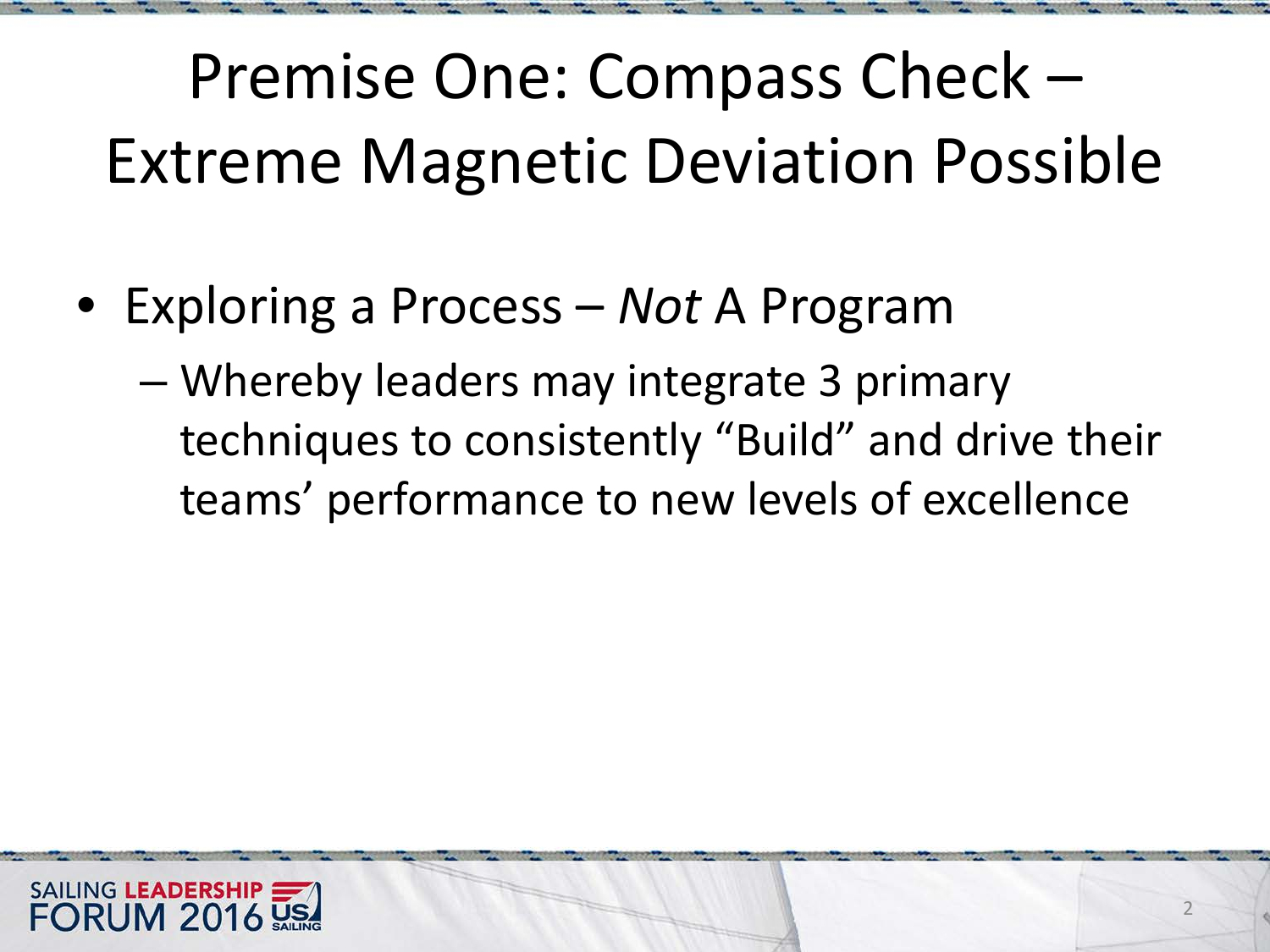Premise One: Compass Check – Extreme Magnetic Deviation Possible

- Exploring a Process *Not* A Program
	- Whereby leaders may integrate 3 primary techniques to consistently "Build" and drive their teams' performance to new levels of excellence

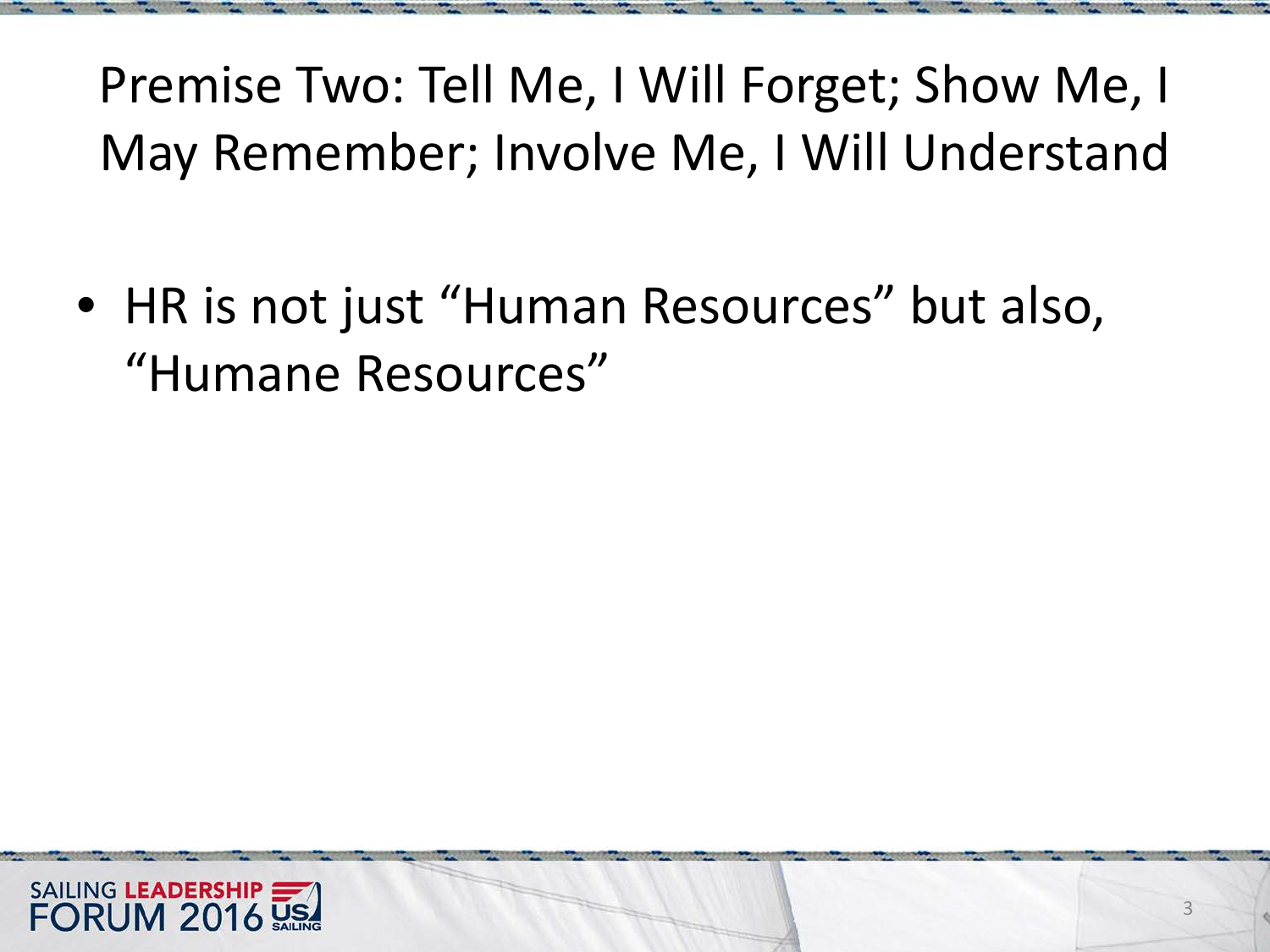Premise Two: Tell Me, I Will Forget; Show Me, I May Remember; Involve Me, I Will Understand

• HR is not just "Human Resources" but also, "Humane Resources"

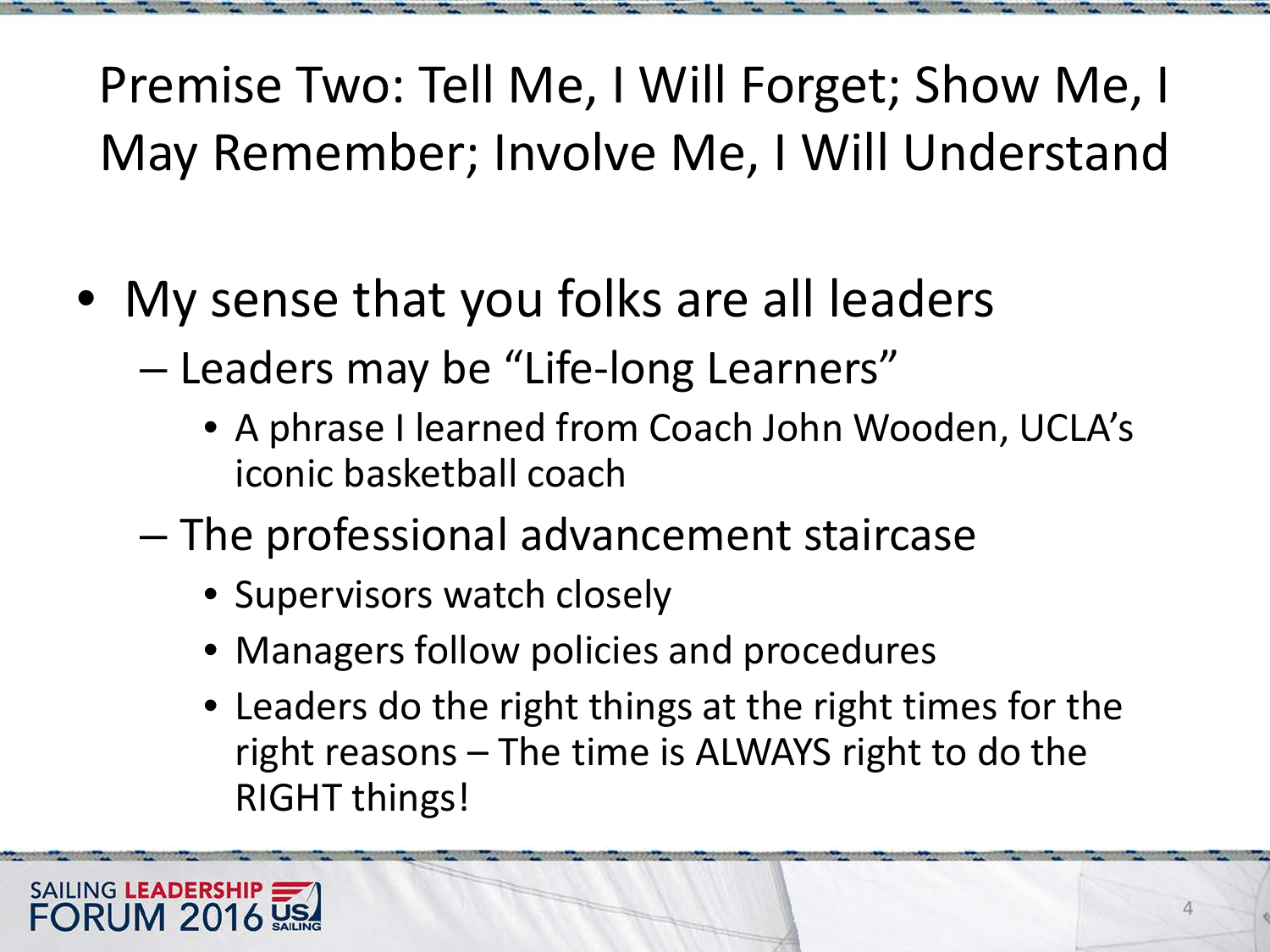Premise Two: Tell Me, I Will Forget; Show Me, I May Remember; Involve Me, I Will Understand

- My sense that you folks are all leaders
	- Leaders may be "Life-long Learners"
		- A phrase I learned from Coach John Wooden, UCLA's iconic basketball coach
	- The professional advancement staircase
		- Supervisors watch closely
		- Managers follow policies and procedures
		- Leaders do the right things at the right times for the right reasons – The time is ALWAYS right to do the RIGHT things!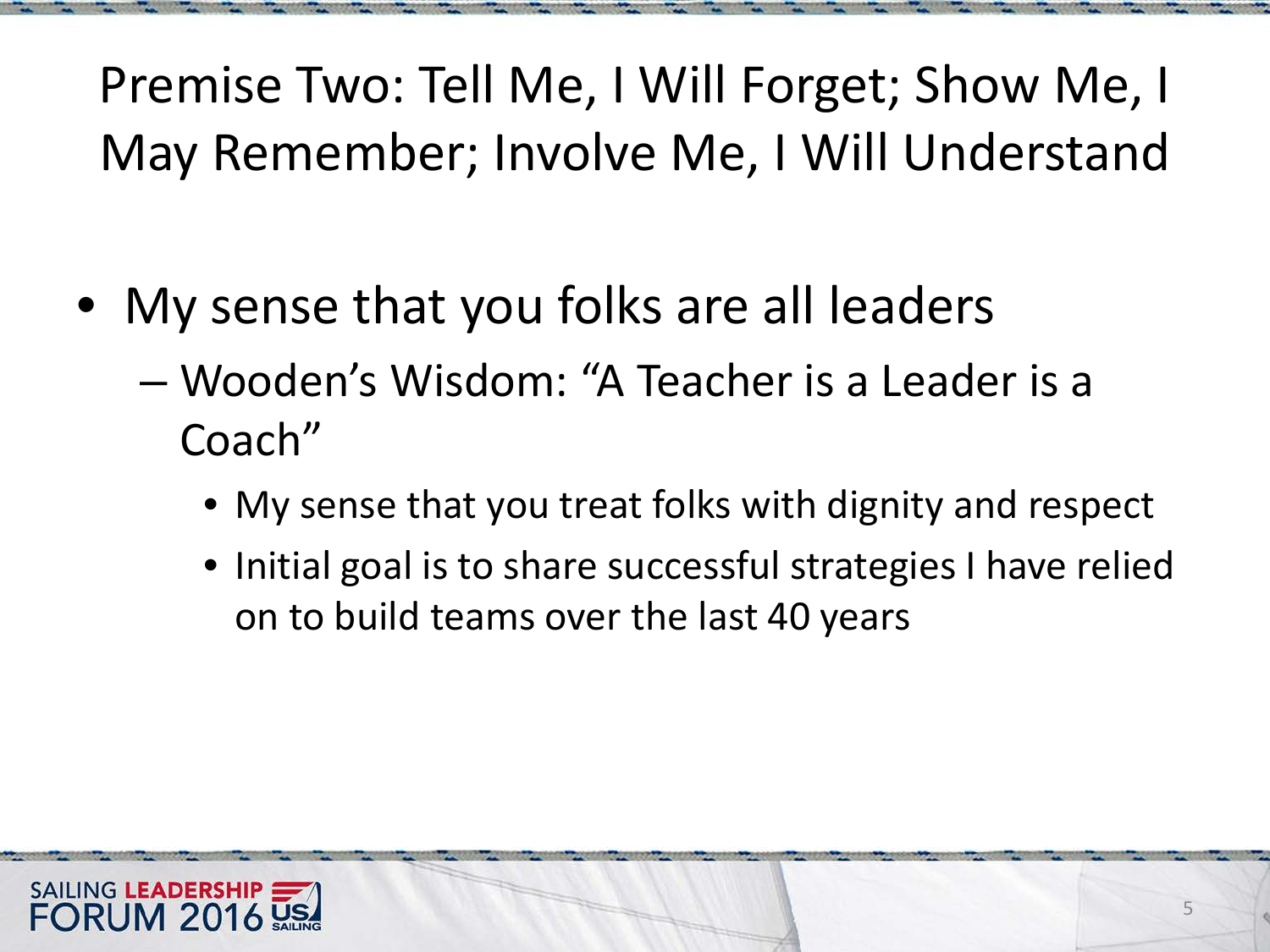Premise Two: Tell Me, I Will Forget; Show Me, I May Remember; Involve Me, I Will Understand

- My sense that you folks are all leaders
	- Wooden's Wisdom: "A Teacher is a Leader is a Coach"
		- My sense that you treat folks with dignity and respect
		- Initial goal is to share successful strategies I have relied on to build teams over the last 40 years

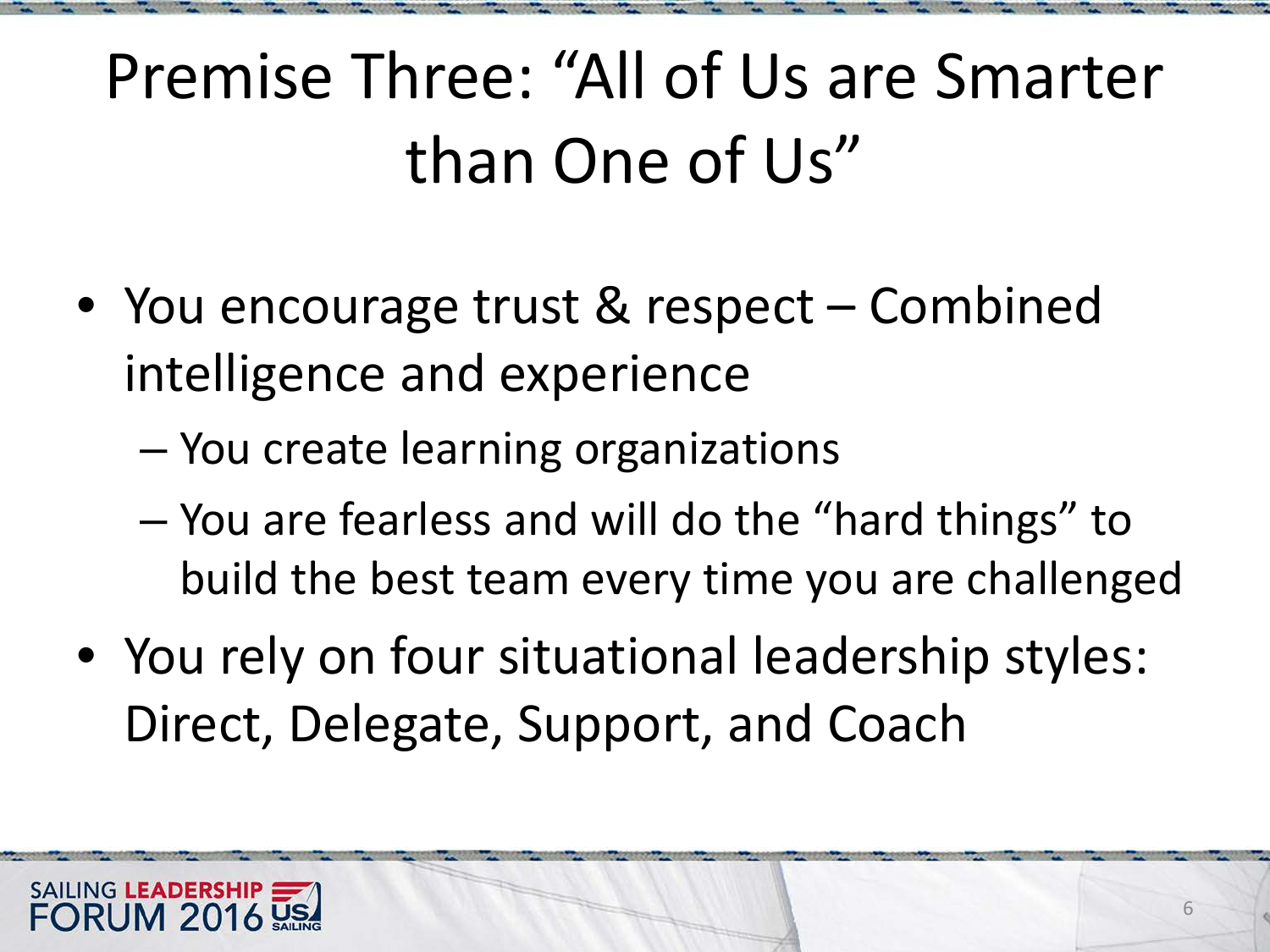## Premise Three: "All of Us are Smarter than One of Us"

- You encourage trust & respect Combined intelligence and experience
	- You create learning organizations
	- You are fearless and will do the "hard things" to build the best team every time you are challenged
- You rely on four situational leadership styles: Direct, Delegate, Support, and Coach

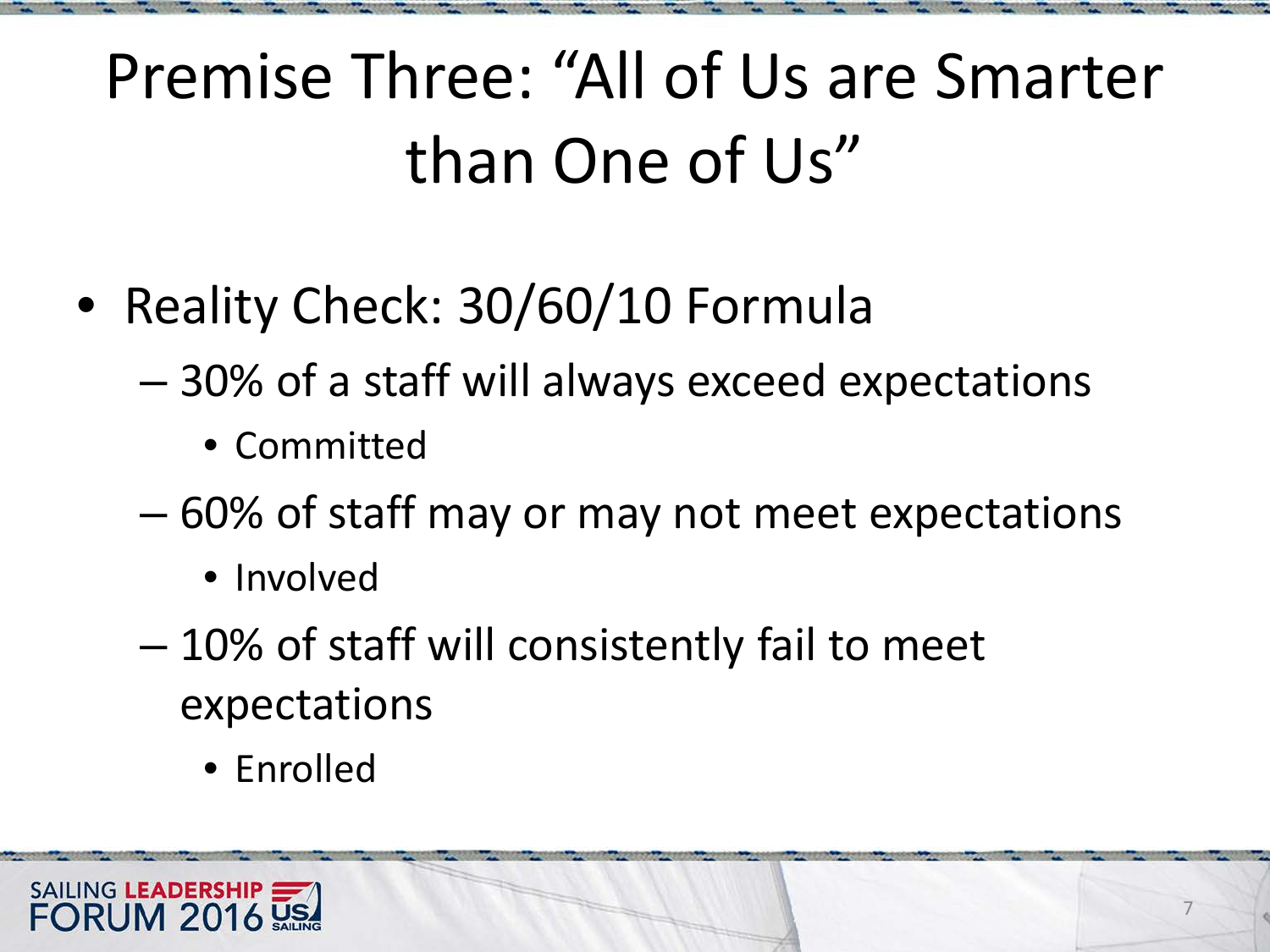## Premise Three: "All of Us are Smarter than One of Us"

- Reality Check: 30/60/10 Formula
	- 30% of a staff will always exceed expectations
		- Committed
	- 60% of staff may or may not meet expectations
		- Involved
	- 10% of staff will consistently fail to meet expectations
		- Enrolled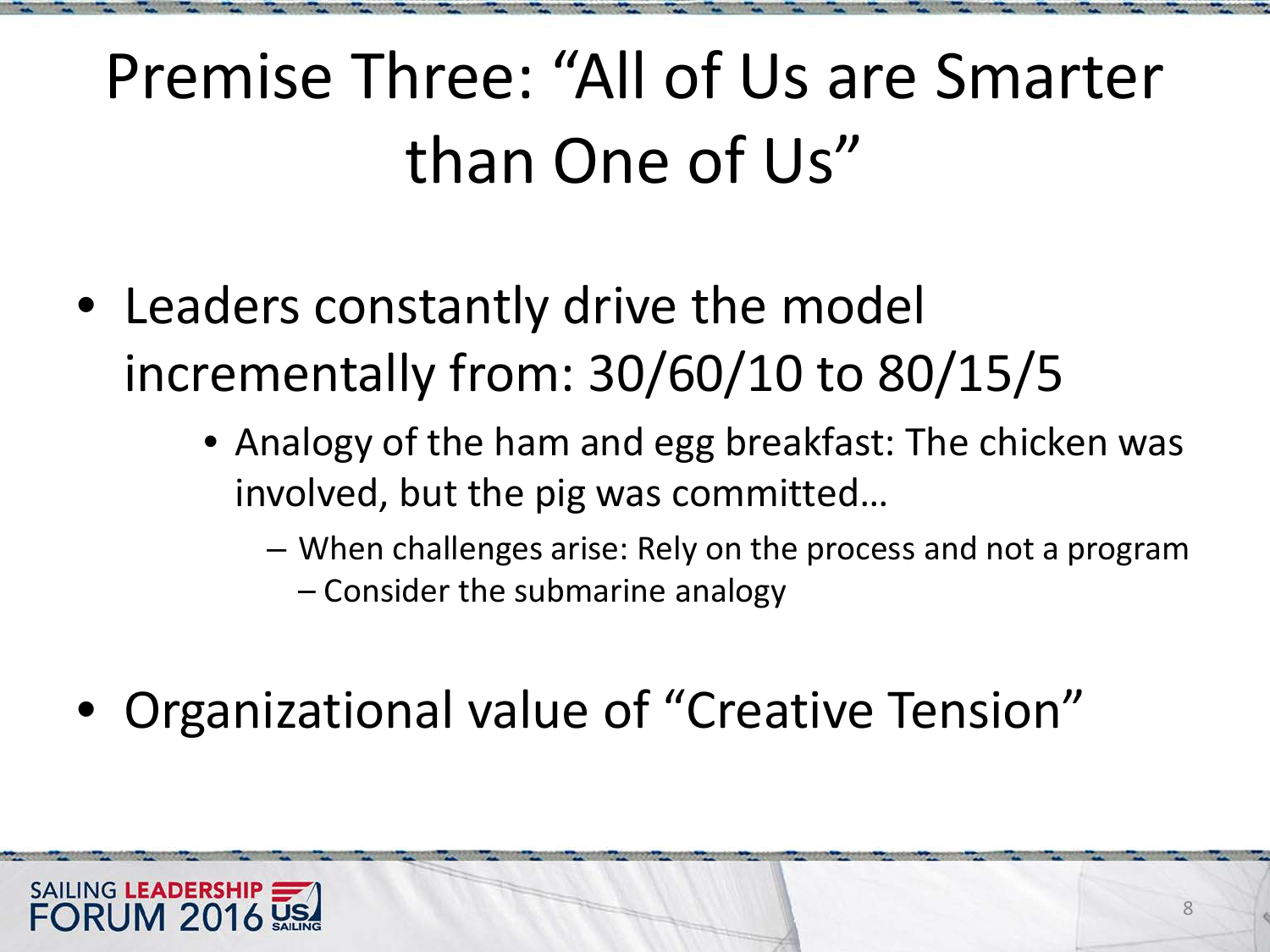## Premise Three: "All of Us are Smarter than One of Us"

- Leaders constantly drive the model incrementally from: 30/60/10 to 80/15/5
	- Analogy of the ham and egg breakfast: The chicken was involved, but the pig was committed…
		- When challenges arise: Rely on the process and not a program
			- Consider the submarine analogy
- Organizational value of "Creative Tension"

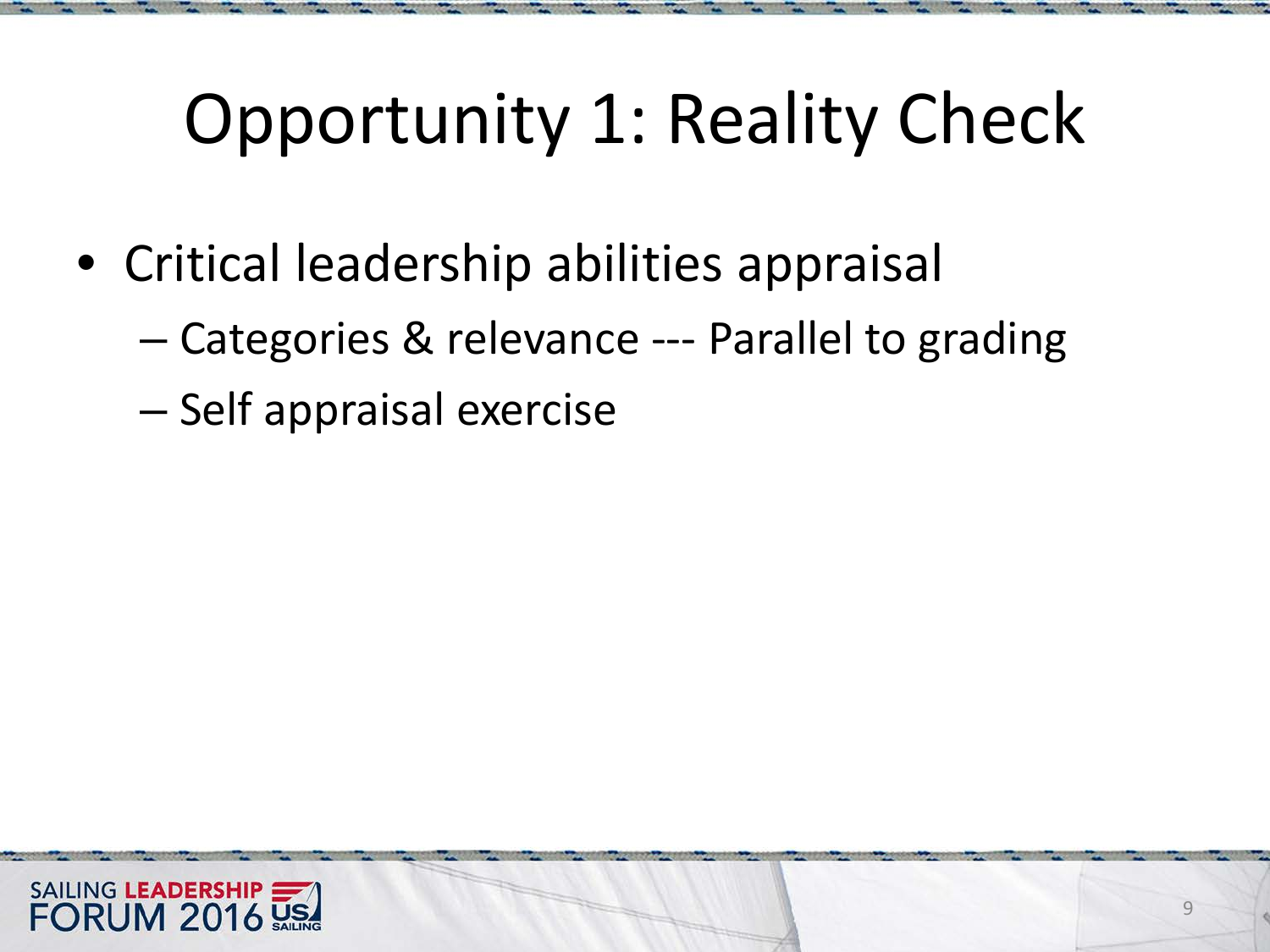# Opportunity 1: Reality Check

- Critical leadership abilities appraisal
	- Categories & relevance --- Parallel to grading
	- Self appraisal exercise

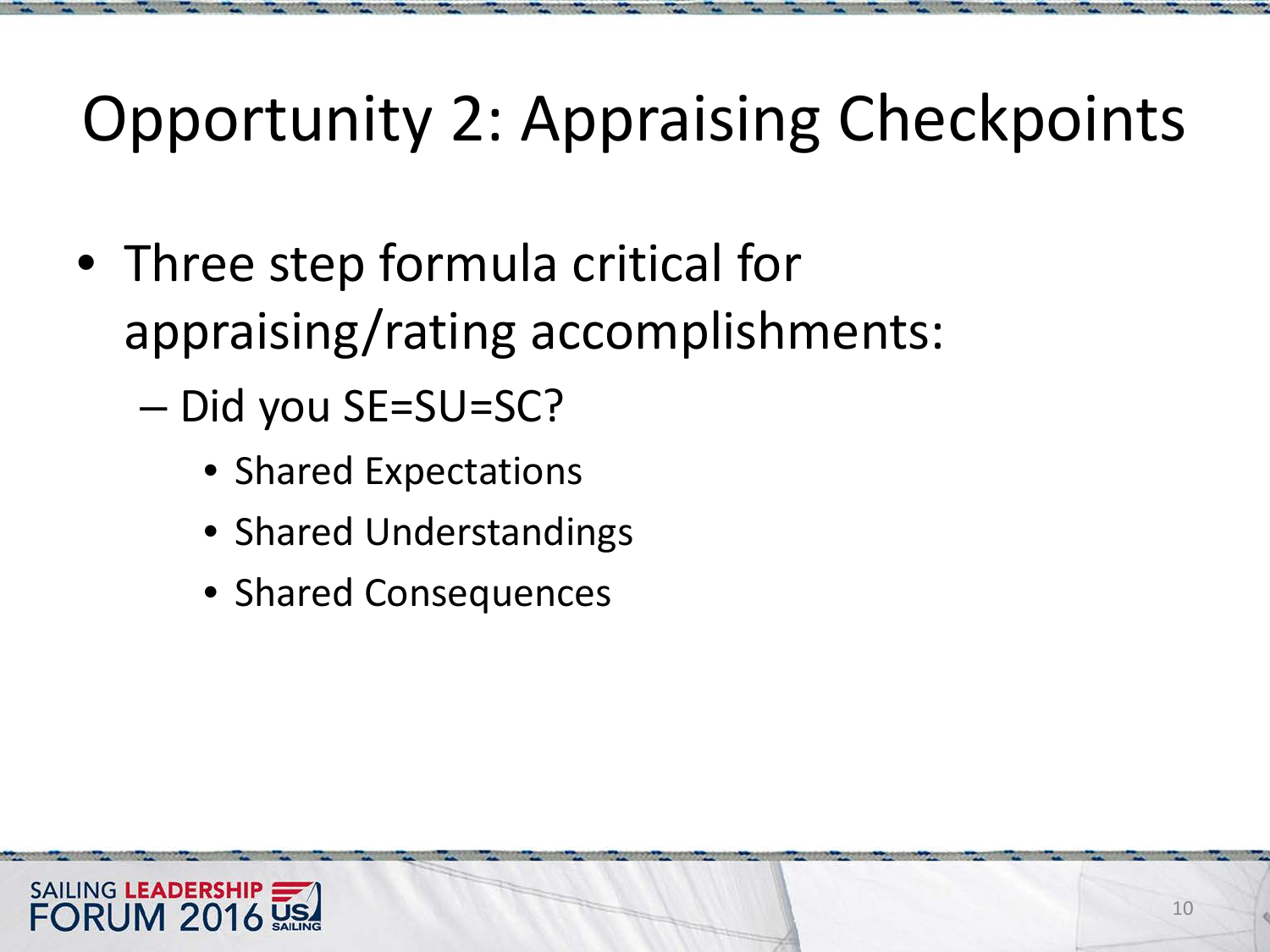- Three step formula critical for appraising/rating accomplishments:
	- Did you SE=SU=SC?
		- Shared Expectations
		- Shared Understandings
		- Shared Consequences

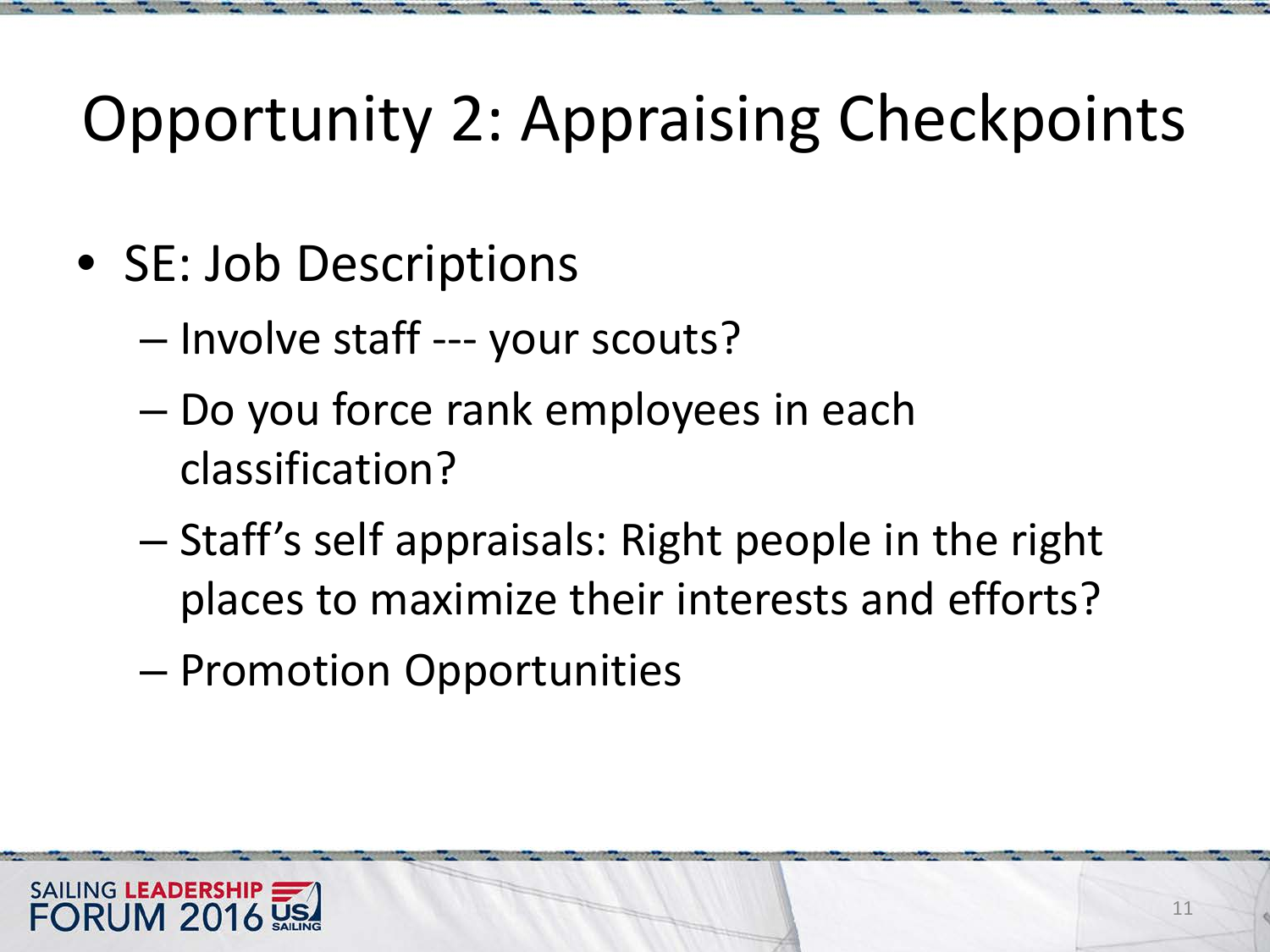- SE: Job Descriptions
	- Involve staff --- your scouts?
	- Do you force rank employees in each classification?
	- Staff's self appraisals: Right people in the right places to maximize their interests and efforts?
	- Promotion Opportunities

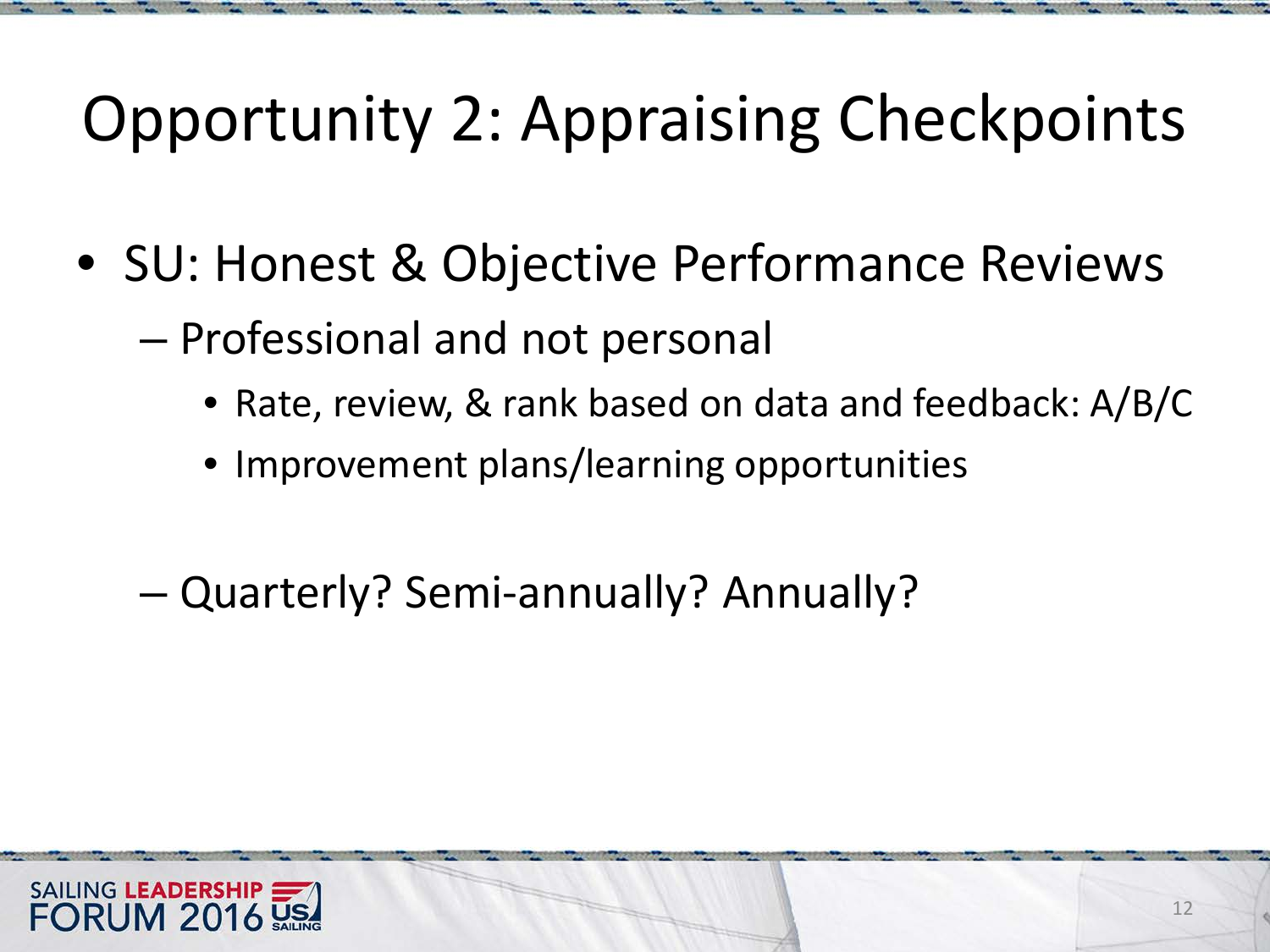- SU: Honest & Objective Performance Reviews
	- Professional and not personal
		- Rate, review, & rank based on data and feedback: A/B/C
		- Improvement plans/learning opportunities
	- Quarterly? Semi-annually? Annually?

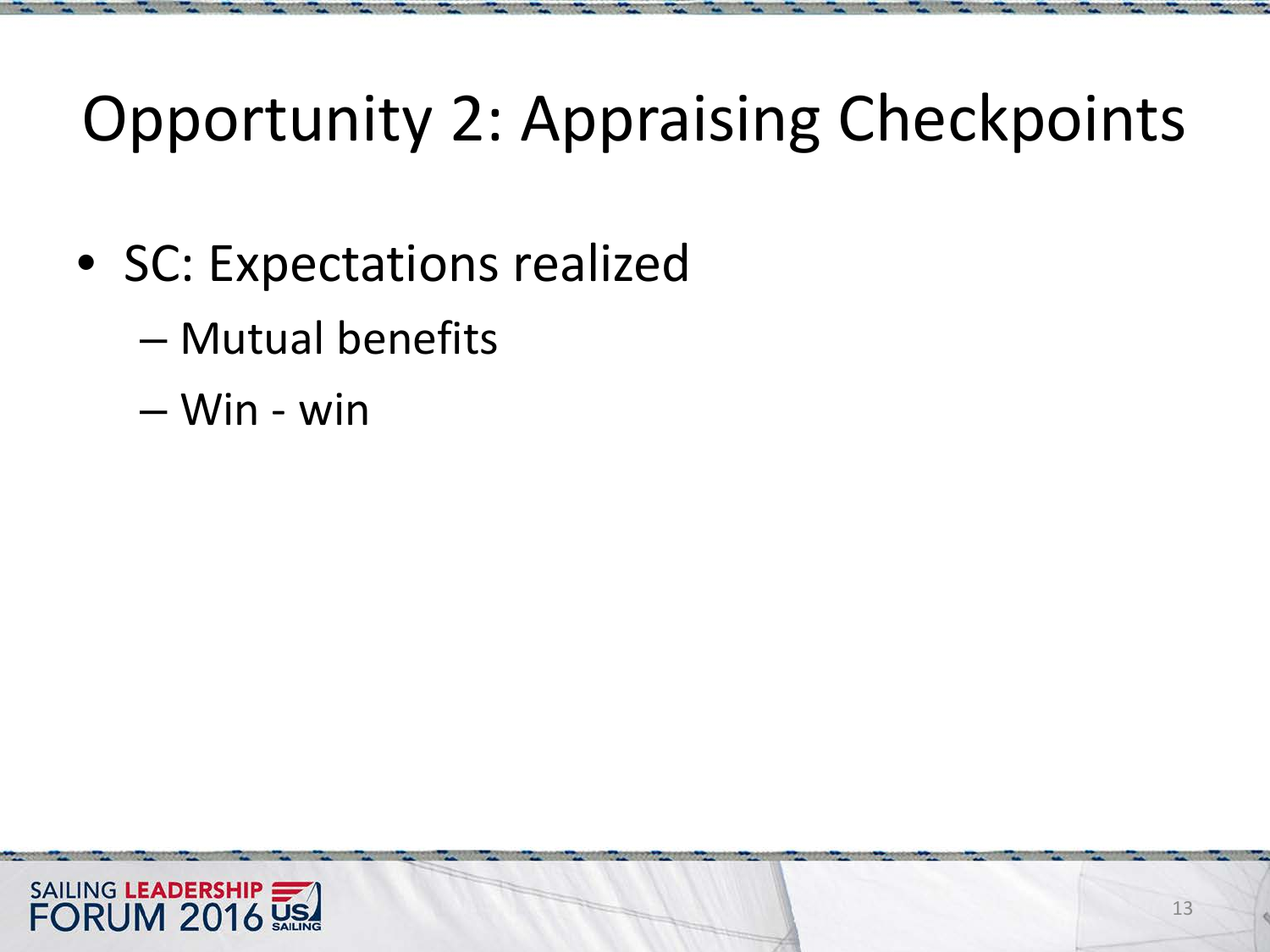- SC: Expectations realized
	- Mutual benefits
	- Win win

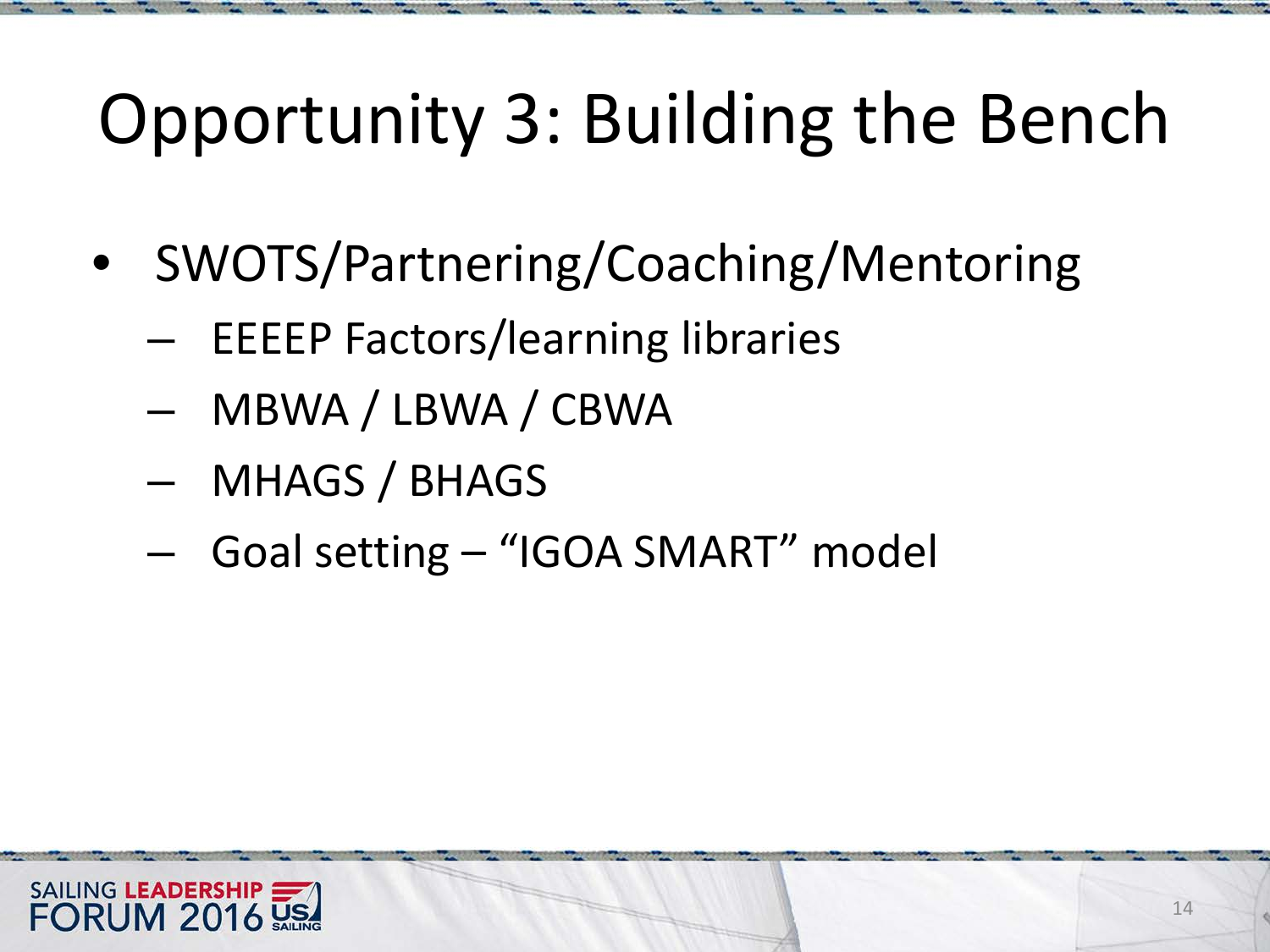# Opportunity 3: Building the Bench

- SWOTS/Partnering/Coaching/Mentoring
	- EEEEP Factors/learning libraries
	- MBWA / LBWA / CBWA
	- MHAGS / BHAGS
	- Goal setting "IGOA SMART" model

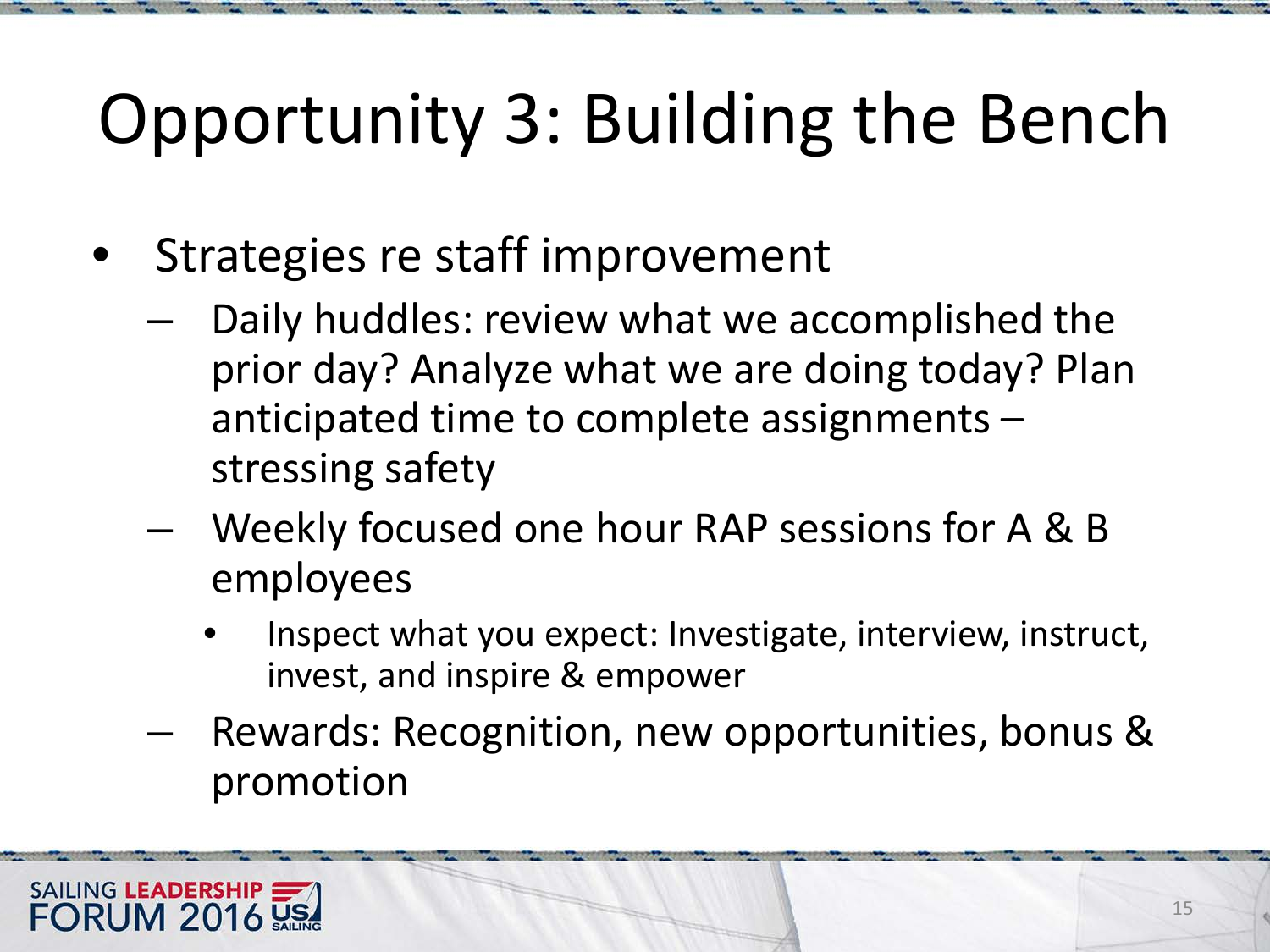# Opportunity 3: Building the Bench

- Strategies re staff improvement
	- Daily huddles: review what we accomplished the prior day? Analyze what we are doing today? Plan anticipated time to complete assignments – stressing safety
	- Weekly focused one hour RAP sessions for A & B employees
		- Inspect what you expect: Investigate, interview, instruct, invest, and inspire & empower
	- Rewards: Recognition, new opportunities, bonus & promotion